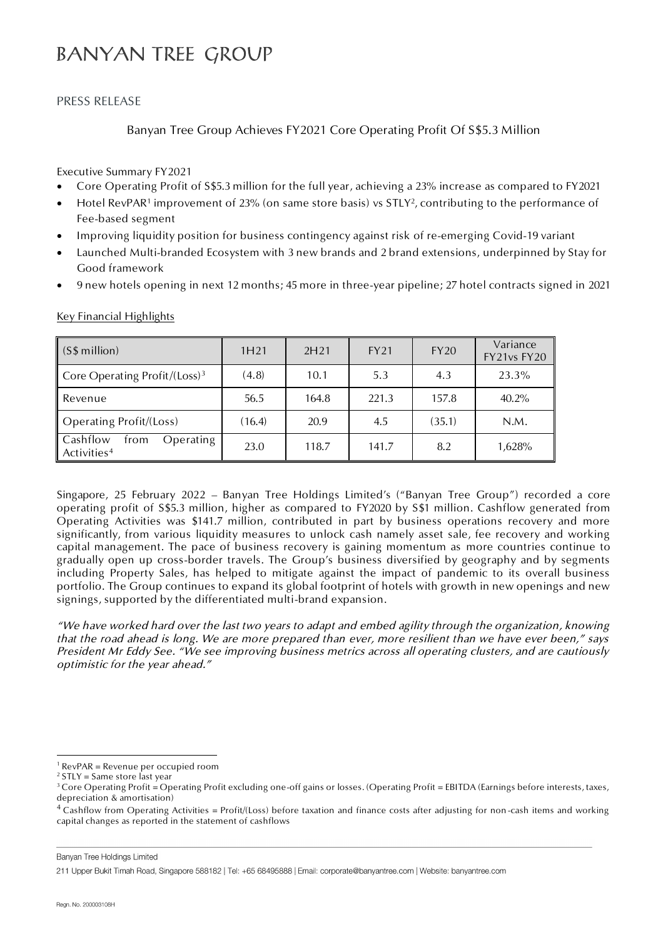# **BANYAN TREE GROUP**

### PRESS RELEASE

## Banyan Tree Group Achieves FY2021 Core Operating Profit Of S\$5.3 Million

Executive Summary FY2021

- Core Operating Profit of S\$5.3 million for the full year, achieving a 23% increase as compared to FY2021
- $\bullet$   $\;\;$  Hotel RevPAR1 improvement of 23% (on same store basis) vs STLY<sup>2</sup>, contributing to the performance of Fee-based segment
- Improving liquidity position for business contingency against risk of re-emerging Covid-19 variant
- Launched Multi-branded Ecosystem with 3 new brands and 2 brand extensions, underpinned by Stay for Good framework
- 9 new hotels opening in next 12 months; 45 more in three-year pipeline; 27 hotel contracts signed in 2021

| (S\$ million)                                            | 1H <sub>21</sub> | 2H <sub>21</sub> | <b>FY21</b> | <b>FY20</b> | Variance<br>FY21vs FY20 |
|----------------------------------------------------------|------------------|------------------|-------------|-------------|-------------------------|
| Core Operating Profit/(Loss) <sup>3</sup>                | (4.8)            | 10.1             | 5.3         | 4.3         | 23.3%                   |
| Revenue                                                  | 56.5             | 164.8            | 221.3       | 157.8       | 40.2%                   |
| Operating Profit/(Loss)                                  | (16.4)           | 20.9             | 4.5         | (35.1)      | N.M.                    |
| Cashflow<br>Operating<br>trom<br>Activities <sup>4</sup> | 23.0             | 118.7            | 141.7       | 8.2         | 1,628%                  |

Key Financial Highlights

Singapore, 25 February 2022 – Banyan Tree Holdings Limited's ("Banyan Tree Group") recorded a core operating profit of S\$5.3 million, higher as compared to FY2020 by S\$1 million. Cashflow generated from Operating Activities was \$141.7 million, contributed in part by business operations recovery and more significantly, from various liquidity measures to unlock cash namely asset sale, fee recovery and working capital management. The pace of business recovery is gaining momentum as more countries continue to gradually open up cross-border travels. The Group's business diversified by geography and by segments including Property Sales, has helped to mitigate against the impact of pandemic to its overall business portfolio. The Group continues to expand its global footprint of hotels with growth in new openings and new signings, supported by the differentiated multi-brand expansion.

*"We have worked hard over the last two years to adapt and embed agility through the organization, knowing that the road ahead is long. We are more prepared than ever, more resilient than we have ever been," says President Mr Eddy See. "We see improving business metrics across all operating clusters, and are cautiously optimistic for the year ahead."*

Banyan Tree Holdings Limited

 $\overline{a}$ 

 $1$  RevPAR = Revenue per occupied room

 $2$  STLY = Same store last year

 $3$  Core Operating Profit = Operating Profit excluding one-off gains or losses. (Operating Profit = EBITDA (Earnings before interests, taxes, depreciation & amortisation)

<sup>4</sup> Cashflow from Operating Activities = Profit/(Loss) before taxation and finance costs after adjusting for non -cash items and working capital changes as reported in the statement of cashflows

<sup>211</sup> Upper Bukit Timah Road, Singapore 588182 | Tel: +65 68495888 | Email: corporate@banyantree.com | Website: banyantree.com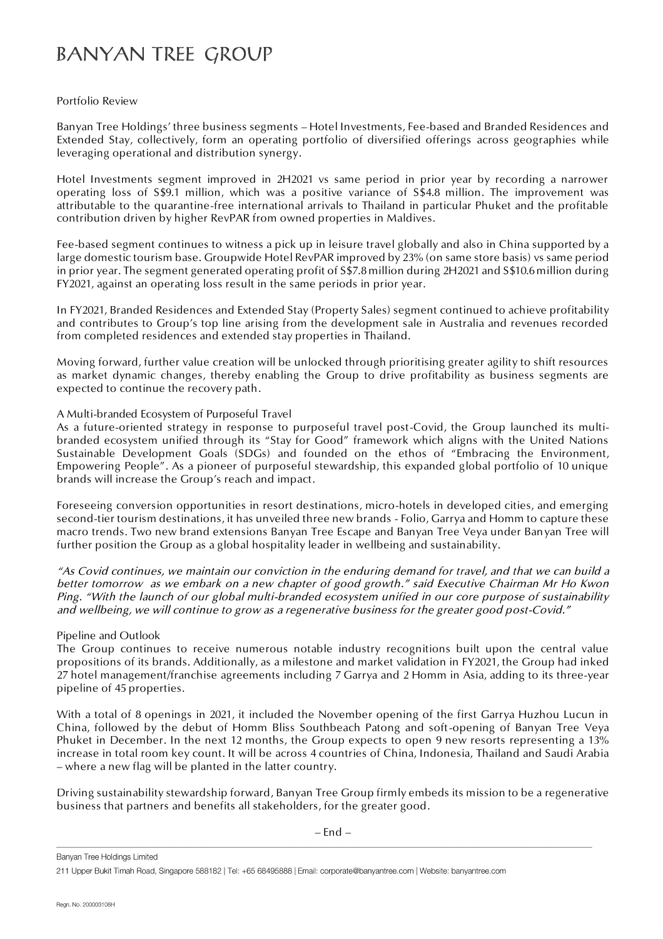# **BANYAN TREE GROUP**

### Portfolio Review

Banyan Tree Holdings' three business segments – Hotel Investments, Fee-based and Branded Residences and Extended Stay, collectively, form an operating portfolio of diversified offerings across geographies while leveraging operational and distribution synergy.

Hotel Investments segment improved in 2H2021 vs same period in prior year by recording a narrower operating loss of S\$9.1 million, which was a positive variance of S\$4.8 million. The improvement was attributable to the quarantine-free international arrivals to Thailand in particular Phuket and the profitable contribution driven by higher RevPAR from owned properties in Maldives.

Fee-based segment continues to witness a pick up in leisure travel globally and also in China supported by a large domestic tourism base. Groupwide Hotel RevPAR improved by 23% (on same store basis) vs same period in prior year. The segment generated operating profit of S\$7.8 million during 2H2021 and S\$10.6 million during FY2021, against an operating loss result in the same periods in prior year.

In FY2021, Branded Residences and Extended Stay (Property Sales) segment continued to achieve profitability and contributes to Group's top line arising from the development sale in Australia and revenues recorded from completed residences and extended stay properties in Thailand.

Moving forward, further value creation will be unlocked through prioritising greater agility to shift resources as market dynamic changes, thereby enabling the Group to drive profitability as business segments are expected to continue the recovery path.

### A Multi-branded Ecosystem of Purposeful Travel

As a future-oriented strategy in response to purposeful travel post-Covid, the Group launched its multibranded ecosystem unified through its "Stay for Good" framework which aligns with the United Nations Sustainable Development Goals (SDGs) and founded on the ethos of "Embracing the Environment, Empowering People". As a pioneer of purposeful stewardship, this expanded global portfolio of 10 unique brands will increase the Group's reach and impact.

Foreseeing conversion opportunities in resort destinations, micro-hotels in developed cities, and emerging second-tier tourism destinations, it has unveiled three new brands - Folio, Garrya and Homm to capture these macro trends. Two new brand extensions Banyan Tree Escape and Banyan Tree Veya under Banyan Tree will further position the Group as a global hospitality leader in wellbeing and sustainability.

*"As Covid continues, we maintain our conviction in the enduring demand for travel, and that we can build a better tomorrow as we embark on a new chapter of good growth." said Executive Chairman Mr Ho Kwon Ping. "With the launch of our global multi-branded ecosystem unified in our core purpose of sustainability and wellbeing, we will continue to grow as a regenerative business for the greater good post-Covid."*

#### Pipeline and Outlook

The Group continues to receive numerous notable industry recognitions built upon the central value propositions of its brands. Additionally, as a milestone and market validation in FY2021, the Group had inked 27 hotel management/franchise agreements including 7 Garrya and 2 Homm in Asia, adding to its three-year pipeline of 45 properties.

With a total of 8 openings in 2021, it included the November opening of the first Garrya Huzhou Lucun in China, followed by the debut of Homm Bliss Southbeach Patong and soft-opening of Banyan Tree Veya Phuket in December. In the next 12 months, the Group expects to open 9 new resorts representing a 13% increase in total room key count. It will be across 4 countries of China, Indonesia, Thailand and Saudi Arabia – where a new flag will be planted in the latter country.

Driving sustainability stewardship forward, Banyan Tree Group firmly embeds its mission to be a regenerative business that partners and benefits all stakeholders, for the greater good.

– End –

Banyan Tree Holdings Limited

211 Upper Bukit Timah Road, Singapore 588182 | Tel: +65 68495888 | Email: corporate@banyantree.com | Website: banyantree.com